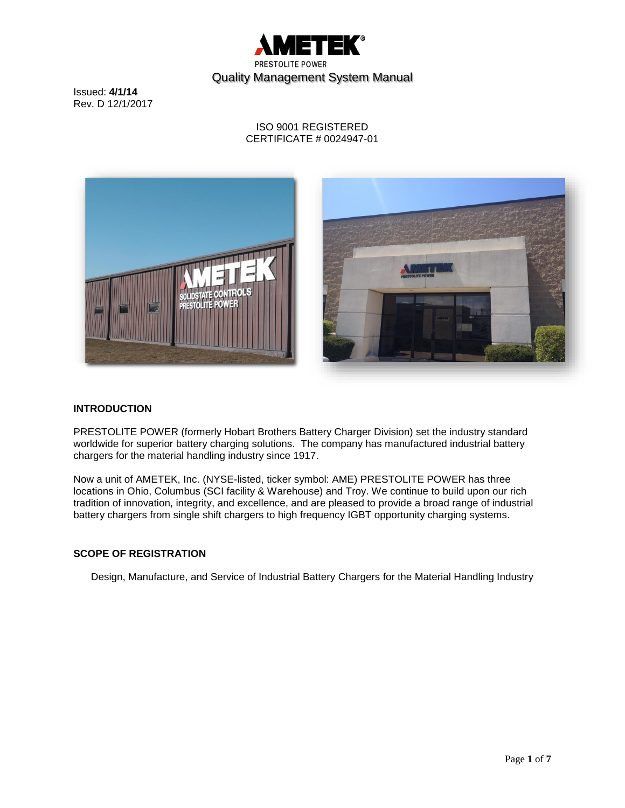

## ISO 9001 REGISTERED CERTIFICATE # 0024947-01



## **INTRODUCTION**

PRESTOLITE POWER (formerly Hobart Brothers Battery Charger Division) set the industry standard worldwide for superior battery charging solutions. The company has manufactured industrial battery chargers for the material handling industry since 1917.

Now a unit of AMETEK, Inc. (NYSE-listed, ticker symbol: AME) PRESTOLITE POWER has three locations in Ohio, Columbus (SCI facility & Warehouse) and Troy. We continue to build upon our rich tradition of innovation, integrity, and excellence, and are pleased to provide a broad range of industrial battery chargers from single shift chargers to high frequency IGBT opportunity charging systems.

### **SCOPE OF REGISTRATION**

Design, Manufacture, and Service of Industrial Battery Chargers for the Material Handling Industry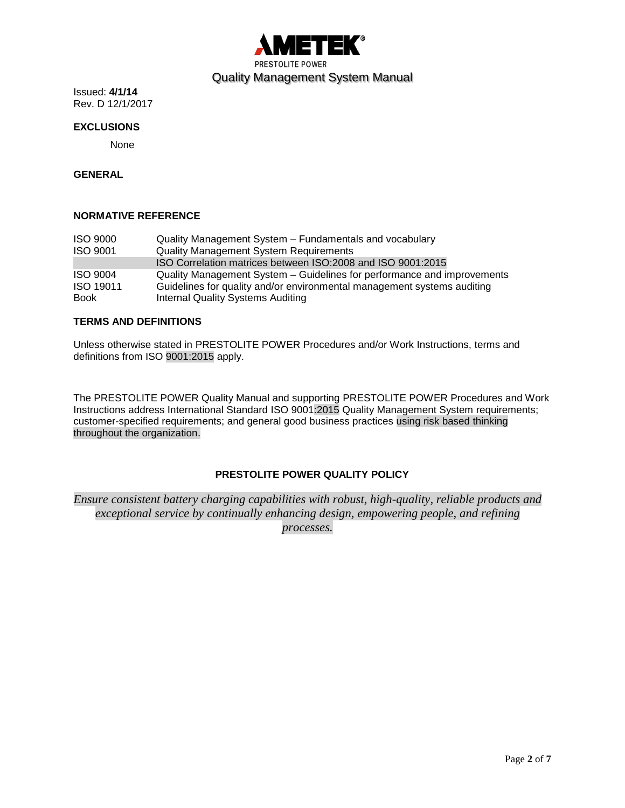

#### **EXCLUSIONS**

None

# **GENERAL**

#### **NORMATIVE REFERENCE**

| <b>ISO 9000</b> | Quality Management System – Fundamentals and vocabulary                 |
|-----------------|-------------------------------------------------------------------------|
| <b>ISO 9001</b> | <b>Quality Management System Requirements</b>                           |
|                 | ISO Correlation matrices between ISO:2008 and ISO 9001:2015             |
| <b>ISO 9004</b> | Quality Management System – Guidelines for performance and improvements |
| ISO 19011       | Guidelines for quality and/or environmental management systems auditing |
| <b>Book</b>     | Internal Quality Systems Auditing                                       |

#### **TERMS AND DEFINITIONS**

Unless otherwise stated in PRESTOLITE POWER Procedures and/or Work Instructions, terms and definitions from ISO 9001:2015 apply.

The PRESTOLITE POWER Quality Manual and supporting PRESTOLITE POWER Procedures and Work Instructions address International Standard ISO 9001:2015 Quality Management System requirements; customer-specified requirements; and general good business practices using risk based thinking throughout the organization.

## **PRESTOLITE POWER QUALITY POLICY**

*Ensure consistent battery charging capabilities with robust, high-quality, reliable products and exceptional service by continually enhancing design, empowering people, and refining processes.*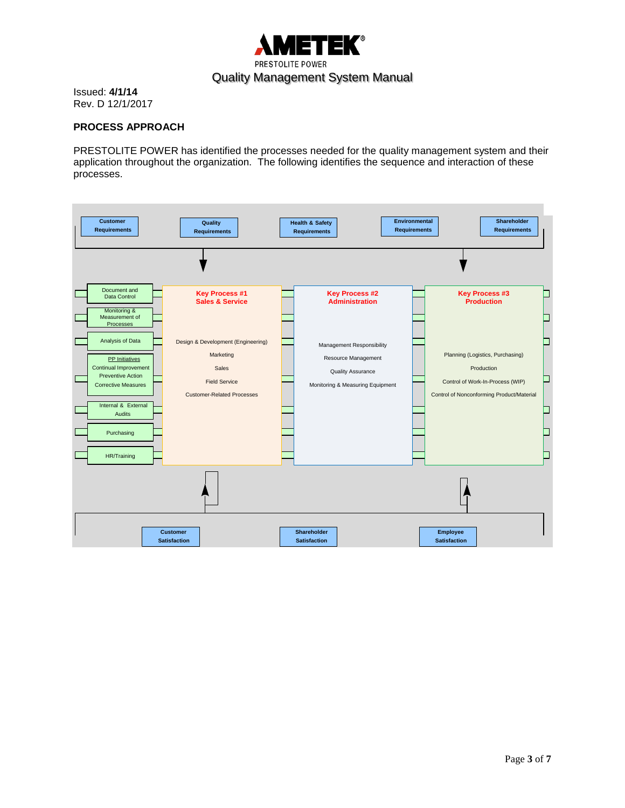

### **PROCESS APPROACH**

PRESTOLITE POWER has identified the processes needed for the quality management system and their application throughout the organization. The following identifies the sequence and interaction of these processes.

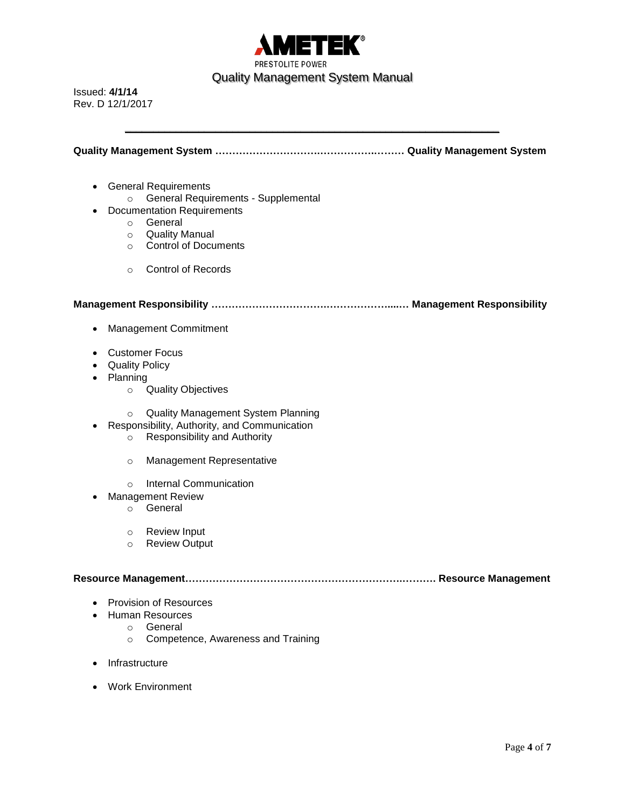

**Quality Management System ………………………….…………….……… Quality Management System**

**\_\_\_\_\_\_\_\_\_\_\_\_\_\_\_\_\_\_\_\_\_\_\_\_\_\_\_\_\_\_\_\_\_\_\_\_\_\_\_\_\_\_\_\_\_\_\_\_\_\_\_\_\_\_\_\_\_\_\_\_\_\_\_\_\_\_**

- General Requirements
	- o General Requirements Supplemental
- Documentation Requirements
	- o General
	- o Quality Manual
	- o Control of Documents
	- o Control of Records

**Management Responsibility …………………………….………………....… Management Responsibility**

- Management Commitment
- Customer Focus
- Quality Policy
- Planning
	- o Quality Objectives
	- o Quality Management System Planning
- Responsibility, Authority, and Communication
	- o Responsibility and Authority
	- o Management Representative
	- o Internal Communication
- Management Review
	- o General
	- o Review Input
	- o Review Output

#### **Resource Management……………………………………………………….………. Resource Management**

- Provision of Resources
- Human Resources
	- o General
	- o Competence, Awareness and Training
- Infrastructure
- Work Environment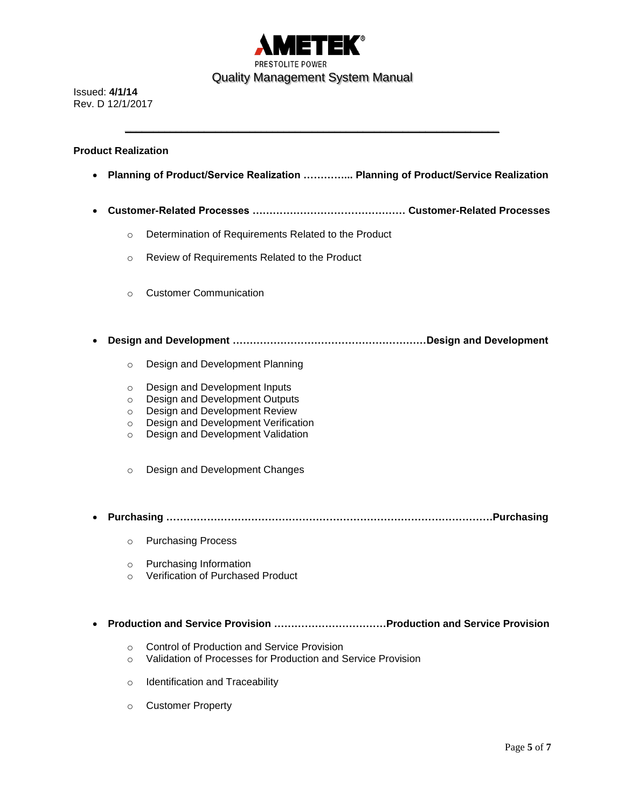

**\_\_\_\_\_\_\_\_\_\_\_\_\_\_\_\_\_\_\_\_\_\_\_\_\_\_\_\_\_\_\_\_\_\_\_\_\_\_\_\_\_\_\_\_\_\_\_\_\_\_\_\_\_\_\_\_\_\_\_\_\_\_\_\_\_\_**

#### **Product Realization**

- **Planning of Product/Service Realization …………... Planning of Product/Service Realization**
- **Customer-Related Processes ……………………………………… Customer-Related Processes**
	- o Determination of Requirements Related to the Product
	- o Review of Requirements Related to the Product
	- o Customer Communication
- **Design and Development …………………………………………………Design and Development**
	- o Design and Development Planning
	- o Design and Development Inputs
	- o Design and Development Outputs
	- o Design and Development Review
	- o Design and Development Verification
	- o Design and Development Validation
	- o Design and Development Changes
- **Purchasing ……………………………………………………………………………………Purchasing**
	- o Purchasing Process
	- o Purchasing Information
	- o Verification of Purchased Product
- **Production and Service Provision ……………………………Production and Service Provision**
	- o Control of Production and Service Provision
	- o Validation of Processes for Production and Service Provision
	- o Identification and Traceability
	- o Customer Property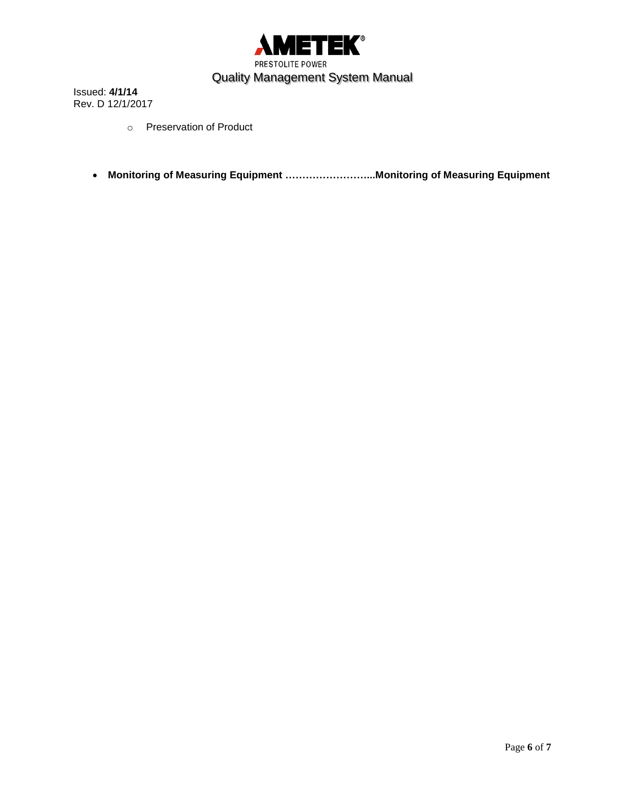

- o Preservation of Product
- **Monitoring of Measuring Equipment ……………………...Monitoring of Measuring Equipment**